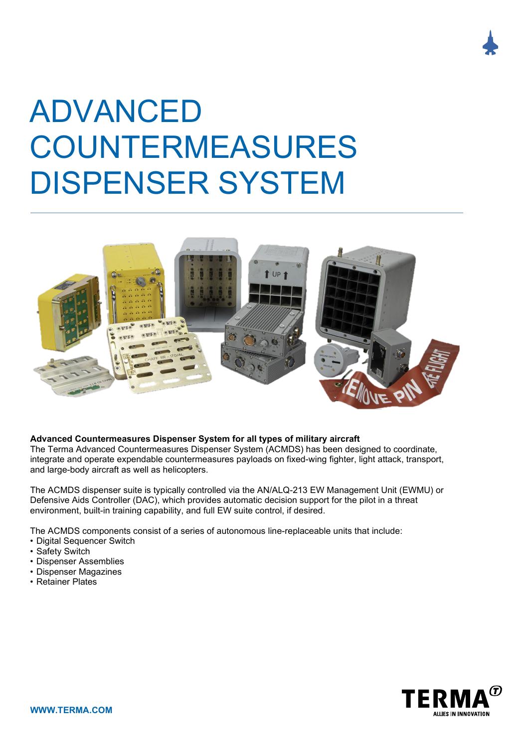

# ADVANCED COUNTERMEASURES DISPENSER SYSTEM



# **Advanced Countermeasures Dispenser System for all types of military aircraft**

The Terma Advanced Countermeasures Dispenser System (ACMDS) has been designed to coordinate, integrate and operate expendable countermeasures payloads on fixed-wing fighter, light attack, transport, and large-body aircraft as well as helicopters.

The ACMDS dispenser suite is typically controlled via the AN/ALQ-213 EW Management Unit (EWMU) or Defensive Aids Controller (DAC), which provides automatic decision support for the pilot in a threat environment, built-in training capability, and full EW suite control, if desired.

The ACMDS components consist of a series of autonomous line-replaceable units that include:

- Digital Sequencer Switch
- Safety Switch
- Dispenser Assemblies
- Dispenser Magazines
- Retainer Plates

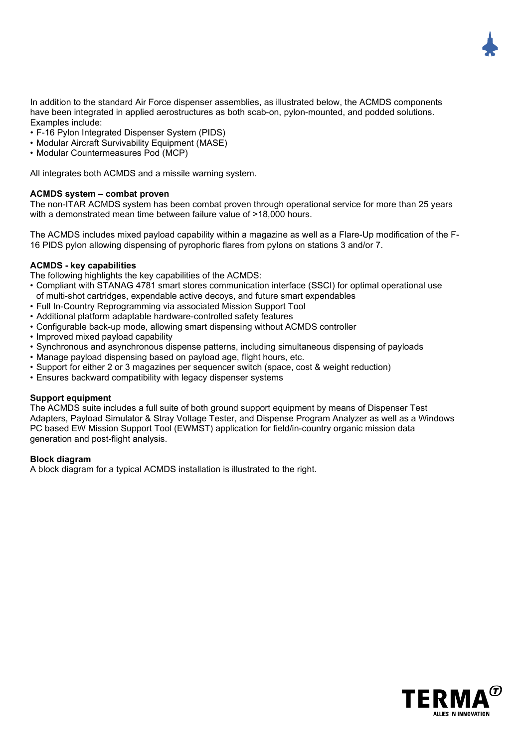In addition to the standard Air Force dispenser assemblies, as illustrated below, the ACMDS components have been integrated in applied aerostructures as both scab-on, pylon-mounted, and podded solutions. Examples include:

- F-16 Pylon Integrated Dispenser System (PIDS)
- Modular Aircraft Survivability Equipment (MASE)
- Modular Countermeasures Pod (MCP)

All integrates both ACMDS and a missile warning system.

# **ACMDS system – combat proven**

The non-ITAR ACMDS system has been combat proven through operational service for more than 25 years with a demonstrated mean time between failure value of >18,000 hours.

The ACMDS includes mixed payload capability within a magazine as well as a Flare-Up modification of the F-16 PIDS pylon allowing dispensing of pyrophoric flares from pylons on stations 3 and/or 7.

#### **ACMDS - key capabilities**

The following highlights the key capabilities of the ACMDS:

- Compliant with STANAG 4781 smart stores communication interface (SSCI) for optimal operational use of multi-shot cartridges, expendable active decoys, and future smart expendables
- Full In-Country Reprogramming via associated Mission Support Tool
- Additional platform adaptable hardware-controlled safety features
- Configurable back-up mode, allowing smart dispensing without ACMDS controller
- Improved mixed payload capability
- Synchronous and asynchronous dispense patterns, including simultaneous dispensing of payloads
- Manage payload dispensing based on payload age, flight hours, etc.
- Support for either 2 or 3 magazines per sequencer switch (space, cost & weight reduction)
- Ensures backward compatibility with legacy dispenser systems

#### **Support equipment**

The ACMDS suite includes a full suite of both ground support equipment by means of Dispenser Test Adapters, Payload Simulator & Stray Voltage Tester, and Dispense Program Analyzer as well as a Windows PC based EW Mission Support Tool (EWMST) application for field/in-country organic mission data generation and post-flight analysis.

# **Block diagram**

A block diagram for a typical ACMDS installation is illustrated to the right.